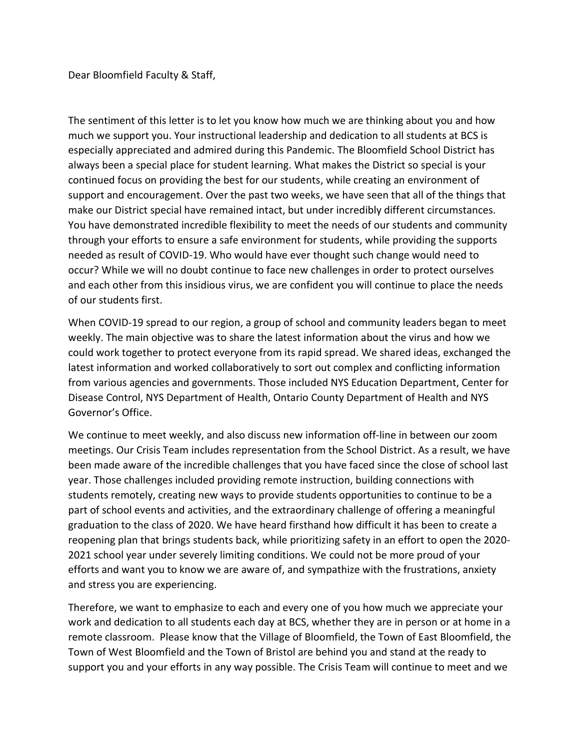Dear Bloomfield Faculty & Staff,

The sentiment of this letter is to let you know how much we are thinking about you and how much we support you. Your instructional leadership and dedication to all students at BCS is especially appreciated and admired during this Pandemic. The Bloomfield School District has always been a special place for student learning. What makes the District so special is your continued focus on providing the best for our students, while creating an environment of support and encouragement. Over the past two weeks, we have seen that all of the things that make our District special have remained intact, but under incredibly different circumstances. You have demonstrated incredible flexibility to meet the needs of our students and community through your efforts to ensure a safe environment for students, while providing the supports needed as result of COVID-19. Who would have ever thought such change would need to occur? While we will no doubt continue to face new challenges in order to protect ourselves and each other from this insidious virus, we are confident you will continue to place the needs of our students first.

When COVID-19 spread to our region, a group of school and community leaders began to meet weekly. The main objective was to share the latest information about the virus and how we could work together to protect everyone from its rapid spread. We shared ideas, exchanged the latest information and worked collaboratively to sort out complex and conflicting information from various agencies and governments. Those included NYS Education Department, Center for Disease Control, NYS Department of Health, Ontario County Department of Health and NYS Governor's Office.

We continue to meet weekly, and also discuss new information off-line in between our zoom meetings. Our Crisis Team includes representation from the School District. As a result, we have been made aware of the incredible challenges that you have faced since the close of school last year. Those challenges included providing remote instruction, building connections with students remotely, creating new ways to provide students opportunities to continue to be a part of school events and activities, and the extraordinary challenge of offering a meaningful graduation to the class of 2020. We have heard firsthand how difficult it has been to create a reopening plan that brings students back, while prioritizing safety in an effort to open the 2020- 2021 school year under severely limiting conditions. We could not be more proud of your efforts and want you to know we are aware of, and sympathize with the frustrations, anxiety and stress you are experiencing.

Therefore, we want to emphasize to each and every one of you how much we appreciate your work and dedication to all students each day at BCS, whether they are in person or at home in a remote classroom. Please know that the Village of Bloomfield, the Town of East Bloomfield, the Town of West Bloomfield and the Town of Bristol are behind you and stand at the ready to support you and your efforts in any way possible. The Crisis Team will continue to meet and we